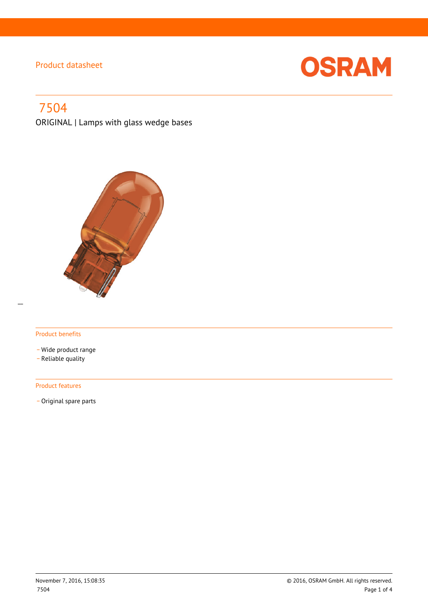

# 7504

ORIGINAL | Lamps with glass wedge bases



#### Product benefits

- \_ Wide product range
- \_ Reliable quality

#### Product features

- Original spare parts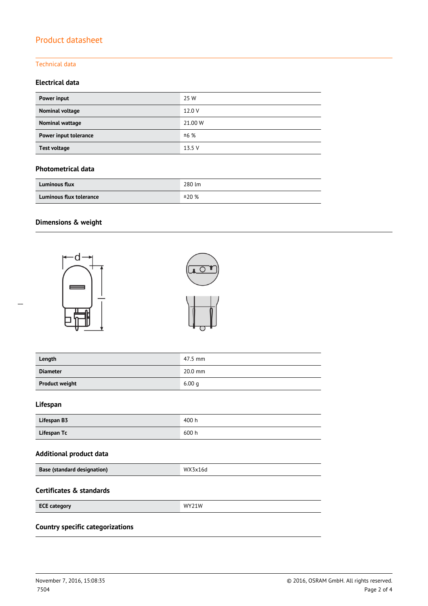#### Technical data

### **Electrical data**

| Power input            | 25 W    |
|------------------------|---------|
| Nominal voltage        | 12.0 V  |
| <b>Nominal wattage</b> | 21.00 W |
| Power input tolerance  | ±6%     |
| <b>Test voltage</b>    | 13.5 V  |

#### **Photometrical data**

| <b>Luminous flux</b>    | 280 lm |
|-------------------------|--------|
| Luminous flux tolerance | ±20%   |

### **Dimensions & weight**





| Length                | 47.5 mm   |
|-----------------------|-----------|
| <b>Diameter</b>       | $20.0$ mm |
| <b>Product weight</b> | 6.00q     |

### **Lifespan**

 $\overline{a}$ 

| Lifespan B3 | 400 h |
|-------------|-------|
| Lifespan Tc | 600 h |

### **Additional product data**

| <b>Base (standard designation)</b> | WX3x16d |
|------------------------------------|---------|
|                                    |         |

#### **Certificates & standards**

| <b>ECE category</b> | WY71W |
|---------------------|-------|
|                     |       |

## **Country specific categorizations**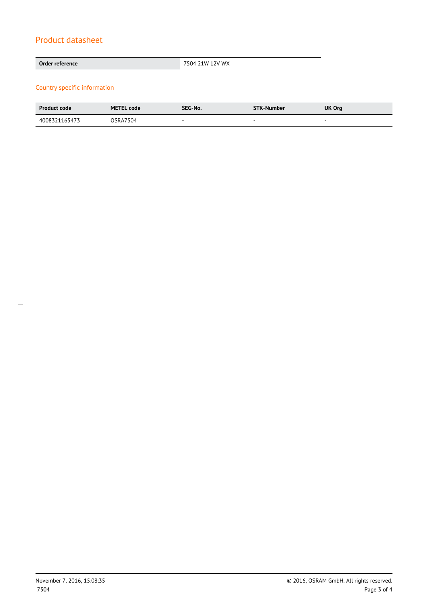| Order reference              | 7504 21W 12V WX |  |
|------------------------------|-----------------|--|
|                              |                 |  |
| Country specific information |                 |  |

| <b>Product code</b> | <b>METEL code</b> | SEG-No. | <b>STK-Number</b>        | <b>UK Org</b> |
|---------------------|-------------------|---------|--------------------------|---------------|
| 4008321165473       | <b>OSRA7504</b>   |         | $\overline{\phantom{a}}$ |               |